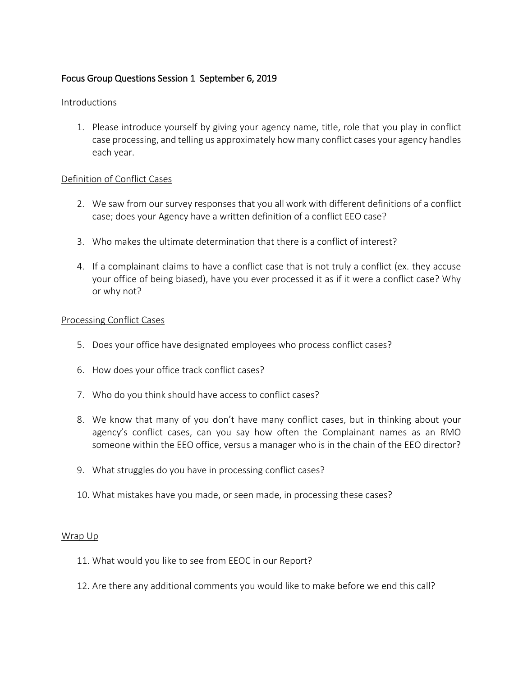# Focus Group Questions Session 1 September 6, 2019

## Introductions

1. Please introduce yourself by giving your agency name, title, role that you play in conflict case processing, and telling us approximately how many conflict cases your agency handles each year.

## Definition of Conflict Cases

- 2. We saw from our survey responses that you all work with different definitions of a conflict case; does your Agency have a written definition of a conflict EEO case?
- 3. Who makes the ultimate determination that there is a conflict of interest?
- 4. If a complainant claims to have a conflict case that is not truly a conflict (ex. they accuse your office of being biased), have you ever processed it as if it were a conflict case? Why or why not?

#### Processing Conflict Cases

- 5. Does your office have designated employees who process conflict cases?
- 6. How does your office track conflict cases?
- 7. Who do you think should have access to conflict cases?
- 8. We know that many of you don't have many conflict cases, but in thinking about your agency's conflict cases, can you say how often the Complainant names as an RMO someone within the EEO office, versus a manager who is in the chain of the EEO director?
- 9. What struggles do you have in processing conflict cases?
- 10. What mistakes have you made, or seen made, in processing these cases?

#### Wrap Up

- 11. What would you like to see from EEOC in our Report?
- 12. Are there any additional comments you would like to make before we end this call?